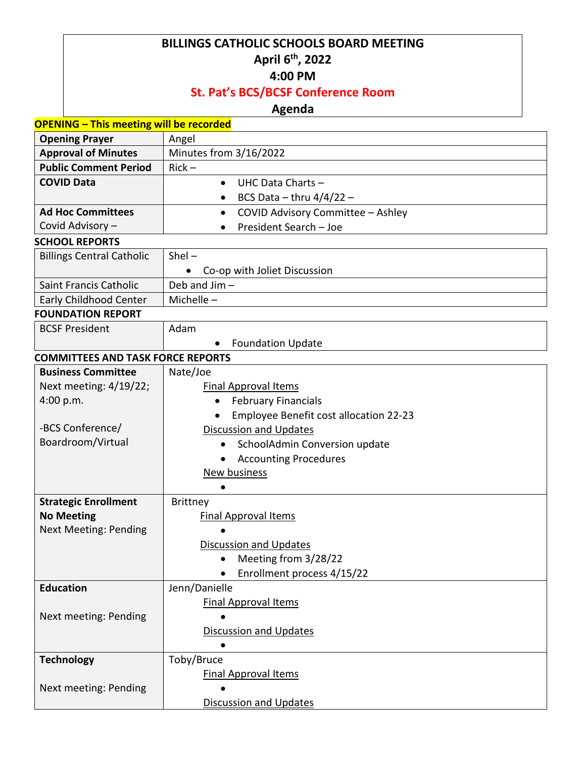## **BILLINGS CATHOLIC SCHOOLS BOARD MEETING April 6th , 2022**

#### **4:00 PM**

### **St. Pat's BCS/BCSF Conference Room**

### **Agenda**

| <b>OPENING - This meeting will be recorded</b> |                                                |
|------------------------------------------------|------------------------------------------------|
| <b>Opening Prayer</b>                          | Angel                                          |
| <b>Approval of Minutes</b>                     | Minutes from 3/16/2022                         |
| <b>Public Comment Period</b>                   | $Rick -$                                       |
| <b>COVID Data</b>                              | UHC Data Charts -<br>$\bullet$                 |
|                                                | BCS Data - thru $4/4/22$ -<br>$\bullet$        |
| <b>Ad Hoc Committees</b>                       | COVID Advisory Committee - Ashley<br>$\bullet$ |
| Covid Advisory -                               | President Search - Joe                         |
| <b>SCHOOL REPORTS</b>                          |                                                |
| <b>Billings Central Catholic</b>               | $Shel -$                                       |
|                                                | Co-op with Joliet Discussion                   |
| Saint Francis Catholic                         | Deb and Jim-                                   |
| Early Childhood Center                         | Michelle-                                      |
| <b>FOUNDATION REPORT</b>                       |                                                |
| <b>BCSF President</b>                          | Adam                                           |
|                                                | <b>Foundation Update</b>                       |
| <b>COMMITTEES AND TASK FORCE REPORTS</b>       |                                                |
| <b>Business Committee</b>                      | Nate/Joe                                       |
| Next meeting: 4/19/22;                         | <b>Final Approval Items</b>                    |
| 4:00 p.m.                                      | <b>February Financials</b>                     |
|                                                | Employee Benefit cost allocation 22-23         |
| -BCS Conference/                               | <b>Discussion and Updates</b>                  |
| Boardroom/Virtual                              | SchoolAdmin Conversion update<br>$\bullet$     |
|                                                | <b>Accounting Procedures</b><br>$\bullet$      |
|                                                | <b>New business</b>                            |
|                                                |                                                |
| <b>Strategic Enrollment</b>                    | <b>Brittney</b>                                |
| <b>No Meeting</b>                              | <b>Final Approval Items</b>                    |
| <b>Next Meeting: Pending</b>                   |                                                |
|                                                | <b>Discussion and Updates</b>                  |
|                                                | Meeting from 3/28/22<br>$\bullet$              |
|                                                | Enrollment process 4/15/22                     |
| <b>Education</b>                               | Jenn/Danielle                                  |
|                                                | <b>Final Approval Items</b>                    |
| Next meeting: Pending                          |                                                |
|                                                | <b>Discussion and Updates</b>                  |
|                                                |                                                |
| <b>Technology</b>                              | Toby/Bruce                                     |
|                                                | <b>Final Approval Items</b>                    |
| Next meeting: Pending                          |                                                |
|                                                | <b>Discussion and Updates</b>                  |